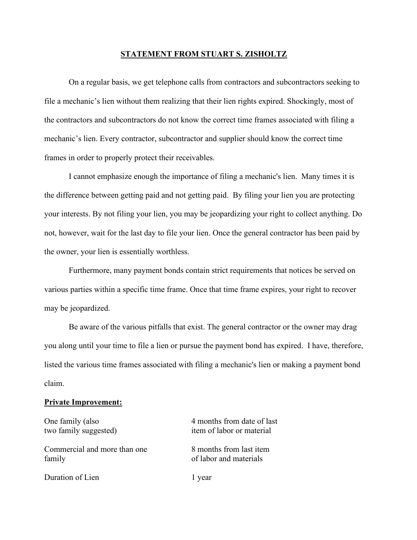## **STATEMENT FROM STUART S. ZISHOLTZ**

On a regular basis, we get telephone calls from contractors and subcontractors seeking to file a mechanic's lien without them realizing that their lien rights expired. Shockingly, most of the contractors and subcontractors do not know the correct time frames associated with filing a mechanic's lien. Every contractor, subcontractor and supplier should know the correct time frames in order to properly protect their receivables.

I cannot emphasize enough the importance of filing a mechanic's lien. Many times it is the difference between getting paid and not getting paid. By filing your lien you are protecting your interests. By not filing your lien, you may be jeopardizing your right to collect anything. Do not, however, wait for the last day to file your lien. Once the general contractor has been paid by the owner, your lien is essentially worthless.

Furthermore, many payment bonds contain strict requirements that notices be served on various parties within a specific time frame. Once that time frame expires, your right to recover may be jeopardized.

Be aware of the various pitfalls that exist. The general contractor or the owner may drag you along until your time to file a lien or pursue the payment bond has expired. I have, therefore, listed the various time frames associated with filing a mechanic's lien or making a payment bond claim.

## **Private Improvement:**

One family (also 4 months from date of last two family suggested) item of labor or material Commercial and more than one 8 months from last item family of labor and materials Duration of Lien 1 year